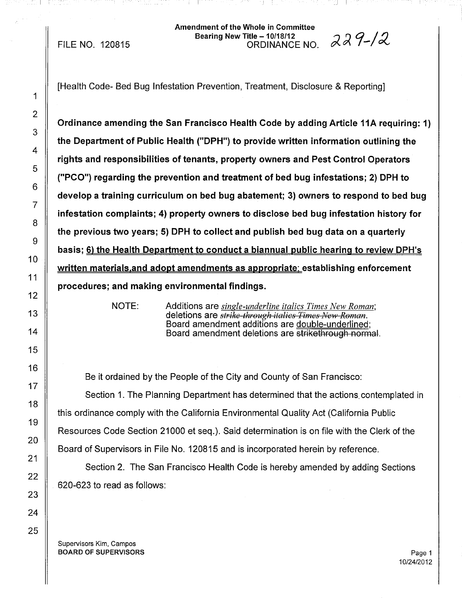### Amendment of the Whole in Committee dment of the whole in Committee<br>Bearing New Title – 10/18/12<br>In an all and a committed and a committed and a committed and a committed and a commi ORDINANCE NO.  $\alpha \alpha$  7-1  $\alpha$

I <sup>I</sup>

FILE NO. 120815

[Health Code- Bed Bug Infestation Prevention, Treatment, Disclosure & Reporting]

Ordinance amending the San Francisco Health Code by adding Article 11A requiring: 1) the Department of Public Health ("DPH") to provide written information outlining the rights and responsibilities of tenants, property owners and Pest Control Operators ("PCO") regarding the prevention and treatment of bed bug infestations; 2) DPH to develop a training curriculum on bed bug abatement; 3) owners to respond to bed bug infestation complaints; 4) property owners to disclose bed bug infestation history for the previous two years; 5) DPH to collect and publish bed bug data on a quarterly basis; 6) the Health Department to conduct a biannual public hearina to review DPH's written materials, and adopt amendments as appropriate; establishing enforcement procedures; and making environmental findings.

NOTE:

Additions are *single-underline italics Times New Roman;* deletions are *strike through italics Times New Roman.* Board amendment additions are double-underlined; Board amendment deletions are strikethrough normal.

Be it ordained by the People of the City and County of San Francisco: Section 1. The Planning Department has determined that the actions. contemplated in this ordinance comply with the California Environmental Quality Act (California Public Resources Code Section 21000 et seq.). Said determination is on file with the Clerk of the Board of Supervisors in File No. 120815 and is incorporated herein by reference.

Section 2. The San Francisco Health Code is hereby amended by adding Sections 620-623 to read as follows:

Supervisors Kim, Campos BOARD OF SUPERVISORS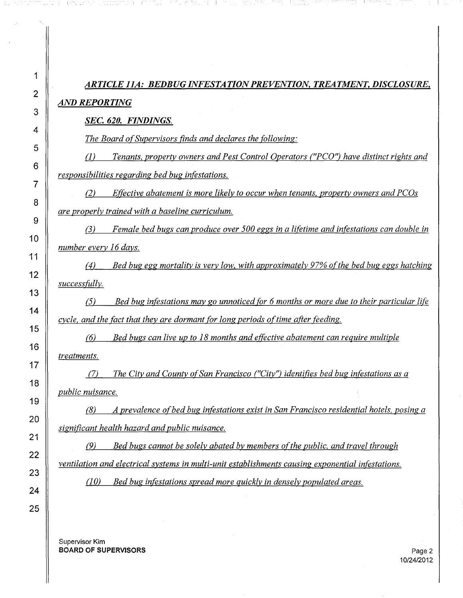| 1              | ARTICLE 11A: BEDBUG INFESTATION PREVENTION, TREATMENT, DISCLOSURE,                                                  |
|----------------|---------------------------------------------------------------------------------------------------------------------|
| $\overline{2}$ | <b>AND REPORTING</b>                                                                                                |
| 3              | SEC. 620. FINDINGS.                                                                                                 |
| 4              | The Board of Supervisors finds and declares the following:                                                          |
| 5              | Tenants, property owners and Pest Control Operators ("PCO") have distinct rights and<br>$\left( I\right)$           |
| 6<br>7         | responsibilities regarding bed bug infestations.                                                                    |
| 8              | Effective abatement is more likely to occur when tenants, property owners and PCOs<br>(2)                           |
| 9              | are properly trained with a baseline curriculum.                                                                    |
| 10             | Female bed bugs can produce over 500 eggs in a lifetime and infestations can double in<br>(3)                       |
| 11             | number every 16 days.                                                                                               |
| 12             | Bed bug egg mortality is very low, with approximately 97% of the bed bug eggs hatching<br>(4)                       |
| 13             | <i>successfully.</i>                                                                                                |
| 14             | Bed bug infestations may go unnoticed for 6 months or more due to their particular life<br>(5)                      |
| 15             | cycle, and the fact that they are dormant for long periods of time after feeding.                                   |
| 16             | Bed bugs can live up to 18 months and effective abatement can require multiple<br>(6)                               |
| 17             | treatments.                                                                                                         |
| 18             | The City and County of San Francisco ("City") identifies bed bug infestations as a<br>(7)                           |
| 19             | public nuisance.<br>A prevalence of bed bug infestations exist in San Francisco residential hotels, posing a<br>(8) |
| 20             | significant health hazard and public nuisance.                                                                      |
| 21             | Bed bugs cannot be solely abated by members of the public, and travel through<br>(9)                                |
| 22             | ventilation and electrical systems in multi-unit establishments causing exponential infestations.                   |
| 23             | (10)<br>Bed bug infestations spread more quickly in densely populated areas.                                        |
| 24             |                                                                                                                     |
| 25             |                                                                                                                     |

amanthony (Coltas es animality (Charles a la Social Coltas as a served of Charles and Collaboration of Social

Supervisor **Kim BOARD OF SUPERVISORS** Page 2

 $\sim$ 

 $\parallel$ 

32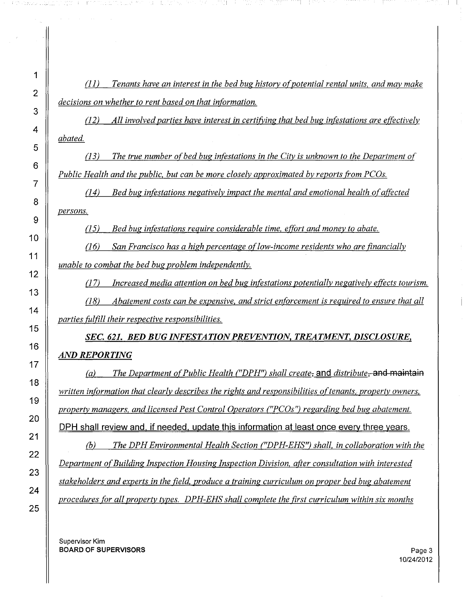*(11) Tenants have an interest in the bed bug history ofpotential rental units, and may make decisions on whether to rent based on that information.*

그는 친한이 아이에 아이들이 좋아하니까?

医血管淋巴 化二氟乙烯酸 医中心反射 法法律的

*(12) All involvedparties have interest in certifying that bed bug infestations are effectively abated.*

*(13) The true number ofbed bug infestations in the City is unknown to the Department of Public Health and the public. but can be more closely approximated by reports trom PCGs.*

*(14) Bed bug infestations negatively impact the mental and emotional health ofaffected persons.*

*(15) Bed bug infestations require considerable time, effort and money to abate.*

*(16) San Francisco has a high percentage oflow-income residents who are financially unable to combat the bed bug problem independently.*

*(17) Increased media attention on bed bug infestations potentially negatively effects tourism.*

*(18) Abatement costs can be expensive. and strict enforcement is required to ensure that all parties fulfill their respective responsibilities.*

*SEC.* 621. *BED BUG INFESTATIONPREVENTION, TREATMENT, DISCLOSURE, AND REPORTING*

*ra) The Department ofPublic Health ("DPH") shall create,* and *distribute,* and maintain *written information that clearly describes the rights and responsibilities oftenants,. property owners, property managers. and licensed Pest Control Operators ("PCOs") regarding bed bug abatement.* DPH shall review and, if needed, update this information at least once every three years.

*(b) The DPHEnvironmental Health Section ("DPH-EHS") shall. in collaboration with the Department ofBuilding Inspection Housing Inspection Division, after consultation with interested stakeholders and experts in the field, produce a training curriculum on proper bed bug abatement procedures for all property types. DPH-EHS shall complete the first curriculum within six months*

Supervisor Kim **BOARD OF SUPERVISORS** Page 3 ! <sup>I</sup>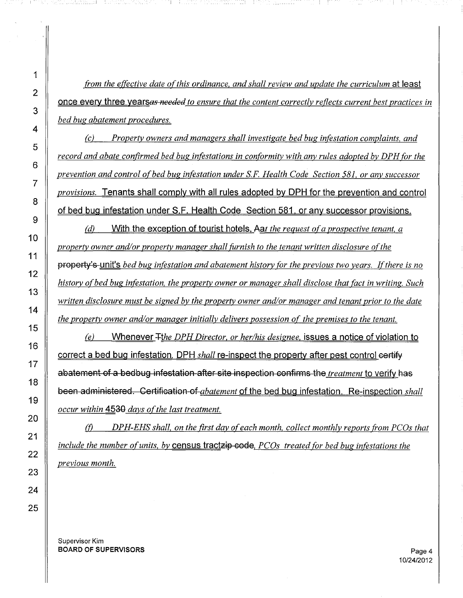*from the effective date ofthis ordinance. and shall review and update the curriculum* at least **<u>once every three yearsas** *needed* to ensure that the content correctly reflects current best practices in</u> *bed bug abatement procedures.*

*ecl Property owners and managers shall investigate bed bug infestation complaints. and record and abate confirmed bed bug infestations in conformity with any rules adopted by DPH for the prevention and control ofbed bug infestation under* s.F. *Health Code Section* 581. *or any successor provisions.* Tenants shall comply with all rules adopted by DPH for the prevention and control of bed bug infestation under S.F. Health Code Section 581. or any successor provisions.

*edl* With the exception of tourist hotels. *Aat the request ofa prospective tenant. a property owner and/or property manager shall furnish to the tenant written disclosure ofthe* property's unit's *bed bug infestation and abatement history for the previous two years. Ifthere is no history ofbed bug infestation. the property owner or manager shall disclose that fact in writing. Such written disclosure must be signed by the property owner and/or manager and tenant prior to the date the property owner and/or manager initially delivers possession of the premises to the tenant.*

*eel* Whenever *+!he DPHDirector. or her/his designee.* issues a notice of violation to correct a bed bug infestation. DPH *shall* re-inspect the property after pest control certify abatement of a bedbug infestation after site inspection confirms the *treatment* to verify has been administered. Certification of *abatement* of the bed bug infestation. Re-inspection *shall occur* within 4530 days of the last treatment.

(j) *DPH-EHS shall. on the first day ofeach month. collect monthly reports from peas that include the number ofunits. by* census tractzip code. *PCDs treated for bed bug infestations the previous month.*

Supervisor Kim BOARD OF SUPERVISORS **Page 4**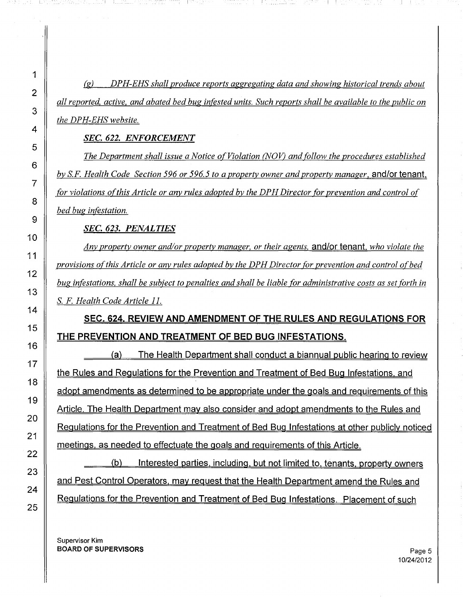*the DPH-EHS website. (g) DPH-EHS shall produce reports aggregating data and showing historical trends about* all reported, active, and abated bed bug infested units. Such reports shall be available to the public on

## *SEC.* 622. *ENFORCEMENT*

*bed bug infestation. The Department shall issue a Notice ofViolation (NOV) and follow the procedures established by S.F HealthCode Section* 596 *or* 596.5 *to a property owner and property manager.* and/or tenant. *for violations ofthis Article or any rules adopted by the DPH Director for prevention and control of*

*SEC.* 623. *PENALTIES*

S. *F Health Code Article 11. Any property owner and/or property manager, or their agents,* and/or tenant. *who violate the provisions ofthis Article or any rules adopted by the DPHDirector for prevention and control ofbed* bug infestations, shall be subject to penalties and shall be liable for administrative costs as set forth in

# **SEC. 624. REVIEW AND AMENDMENT OF THE RULES AND REGULATIONS FOR THE PREVENTION AND TREATMENT OF BED BUG INFESTATIONS.**

the Rules and Regulations for the Prevention and Treatment of Bed Bug Infestations. and adopt amendments as determined to be appropriate under the goals and requirements of this Article. The Health Department may also consider and adopt amendments to the Rules and Regulations for the Prevention and Treatment of Bed Bug Infestations at other publicly noticed meetings. as needed to effectuate the goals and requirements of this Article. (a) The Health Department shall conduct a biannual public hearing to review

(b) Interested parties. including. but not limited to. tenants. property owners and Pest Control Operators. may request that the Health Department amend the Rules and Regulations for the Prevention and Treatment of Bed Bug Infestations. Placement of such

Supervisor Kim BOARD OF SUPERVISORS **Page 5**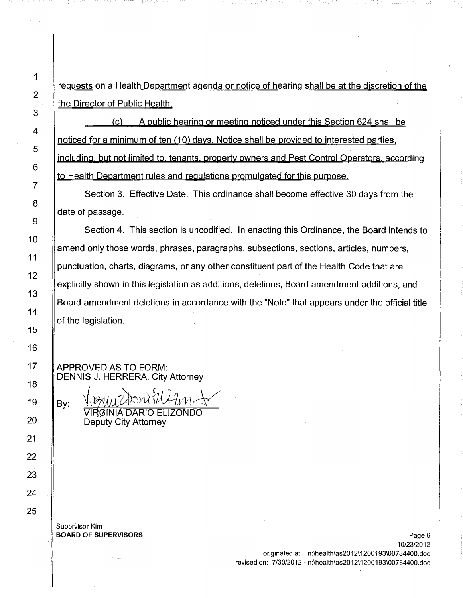requests on a Health Department agenda or notice of hearing shall be at the discretion of the the Director of Public Health.

(c) A public hearing or meeting noticed under this Section 624 shall be noticed for a minimum of ten (10) days. Notice shall be provided to interested parties. including. but not limited to. tenants. property owners and Pest Control Operators. according to Health Department rules and regulations promulgated for this purpose.

Section 3. Effective Date. This ordinance shall become effective 30 days from the date of passage.

Section 4. This section is uncodified. In enacting this Ordinance, the Board intends to amend only those words, phrases, paragraphs, subsections, sections, articles, numbers, punctuation, charts, diagrams, or any other constituent part of the Health Code that are explicitly shown in this legislation as additions, deletions, Board amendment additions, and Board amendment deletions in accordance with the "Note" that appears under the official title of the legislation.

APPROVED AS TO FORM: DENNIS J. HERRERA, City Attorney

By:  $\frac{N}{N}$ WUCANDUNA  $N$ UCA

Deputy City Attorney

Supervisor Kim BOARD OF SUPERVISORS **Page 6** 

10/23/2012 originated at: n:\health\as2012\1200193\00784400.doc revised on: 7/3012012 - n:\health\as2012\1200193\00784400.doc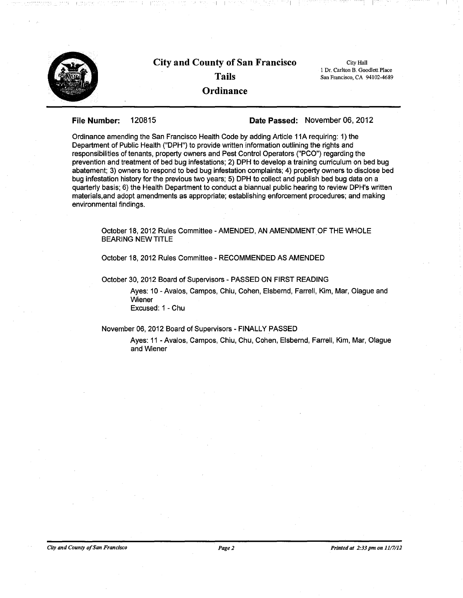

 $\blacksquare$ 

#### File Number: 120815 Date Passed: November 06, 2012

Ordinance amending the San Francisco Health Code by adding Article 11A requiring: 1) the Department of Public Health ("DPH") to provide written information outlining the rights and responsibilities of tenants, property owners and Pest Control Operators ("PCO") regarding the prevention and treatment of bed bug infestations; 2) DPH to develop a training curriculum on bed bug abatement; 3) owners to respond to bed bug infestation complaints; 4) property owners to disclose bed bug infestation history for the previous two years; 5) DPH to collect and publish bed bug data on a quarterly basis; 6) the Health Department to conduct a biannual public hearing to review DPH's written materials,and adopt amendments as appropriate; establishing enforcement procedures; and making environmental findings.

October 18,2012 Rules Committee - AMENDED, AN AMENDMENTOF THE WHOLE BEARING NEW TITLE

October 18, 2012 Rules Committee - RECOMMENDED AS AMENDED

October 30,2012 Board of Supervisors - PASSED ON FIRST READING

Ayes: 10 - Avalos, Campos, Chiu, Cohen, Elsbernd, Farrell, Kim, Mar, Olague and Wiener Excused: 1 - Chu

#### November 06,2012 Board of Supervisors - FINALLY PASSED

Ayes: 11 - Avalos, Campos, Chiu, Chu, Cohen, Elsbernd, Farrell, Kim, Mar, Olague and Wiener